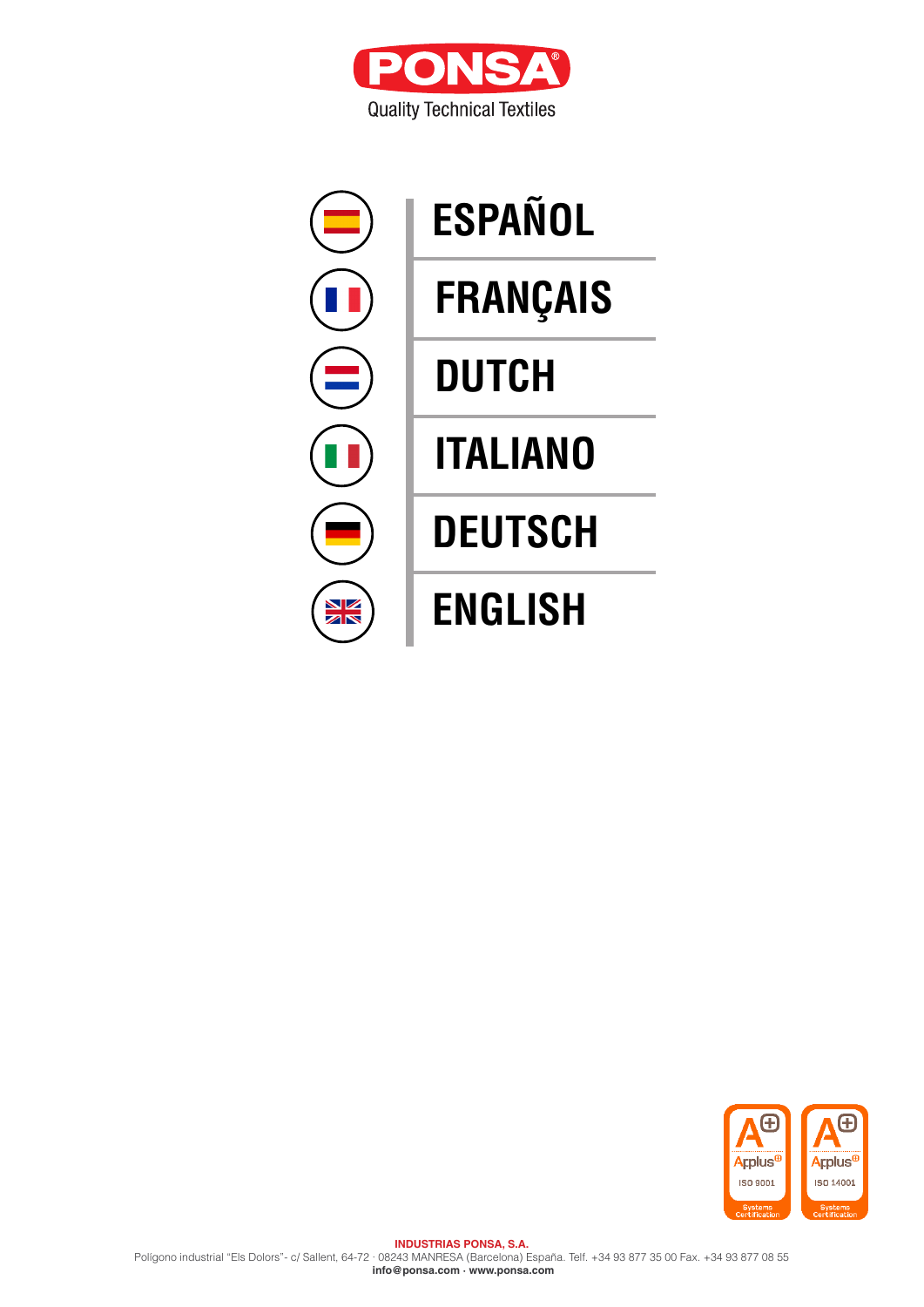



# **[ESPAÑOL](#page-1-0) [ENGLISH](#page-6-0) [DEUTSCH](#page-5-0) [ITALIANO](#page-4-0) [DUTCH](#page-3-0) [FRANÇAIS](#page-2-0)**

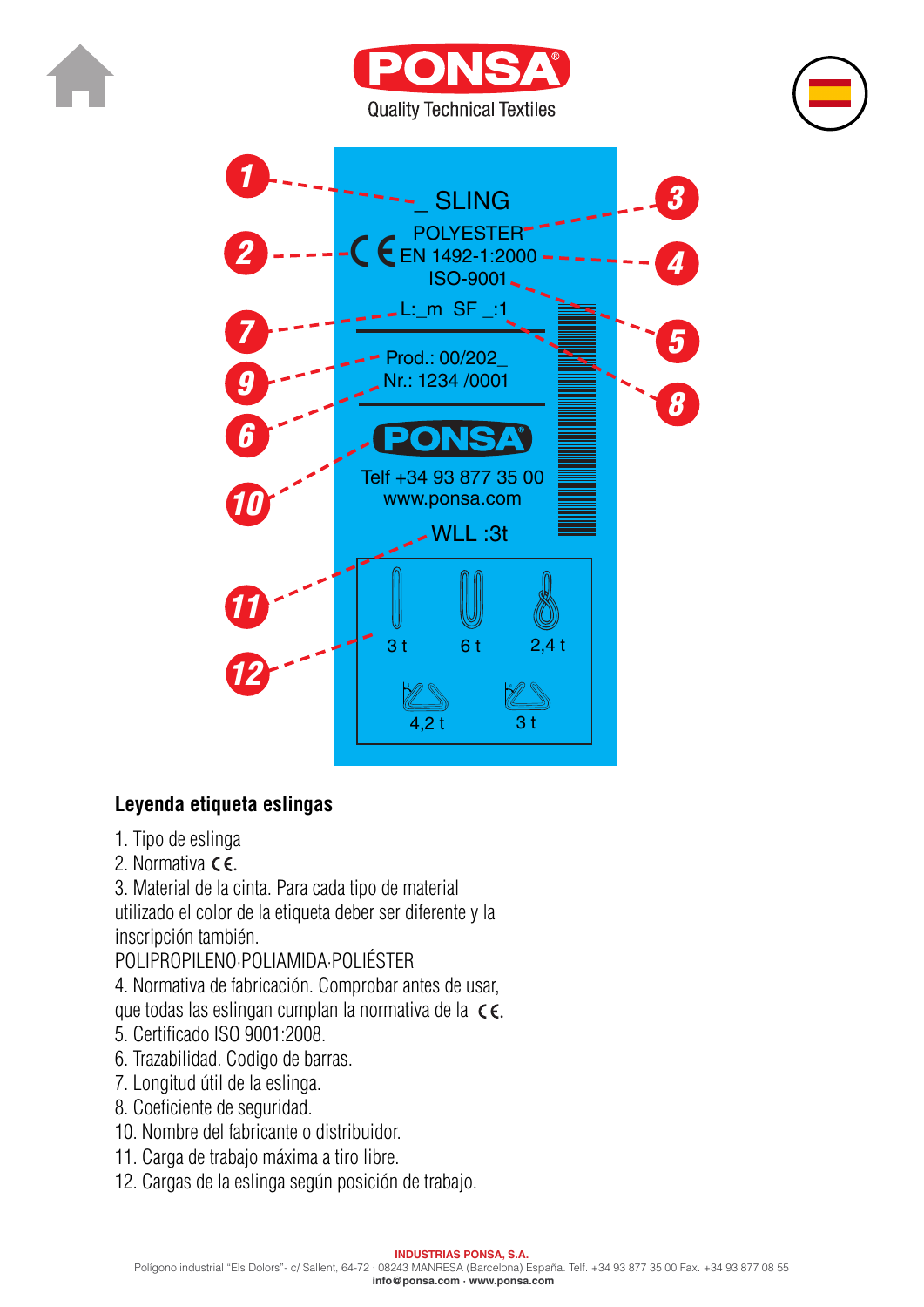<span id="page-1-0"></span>







# **Leyenda etiqueta eslingas**

- 1. Tipo de eslinga
- 2. Normativa **CE.**

3. Material de la cinta. Para cada tipo de material utilizado el color de la etiqueta deber ser diferente y la inscripción también.

POLIPROPILENO·POLIAMIDA·POLIÉSTER

4. Normativa de fabricación. Comprobar antes de usar,

que todas las eslingan cumplan la normativa de la CE.

- 5. Certificado ISO 9001:2008.
- 6. Trazabilidad. Codigo de barras.
- 7. Longitud útil de la eslinga.
- 8. Coeficiente de seguridad.
- 10. Nombre del fabricante o distribuidor.
- 11. Carga de trabajo máxima a tiro libre.
- 12. Cargas de la eslinga según posición de trabajo.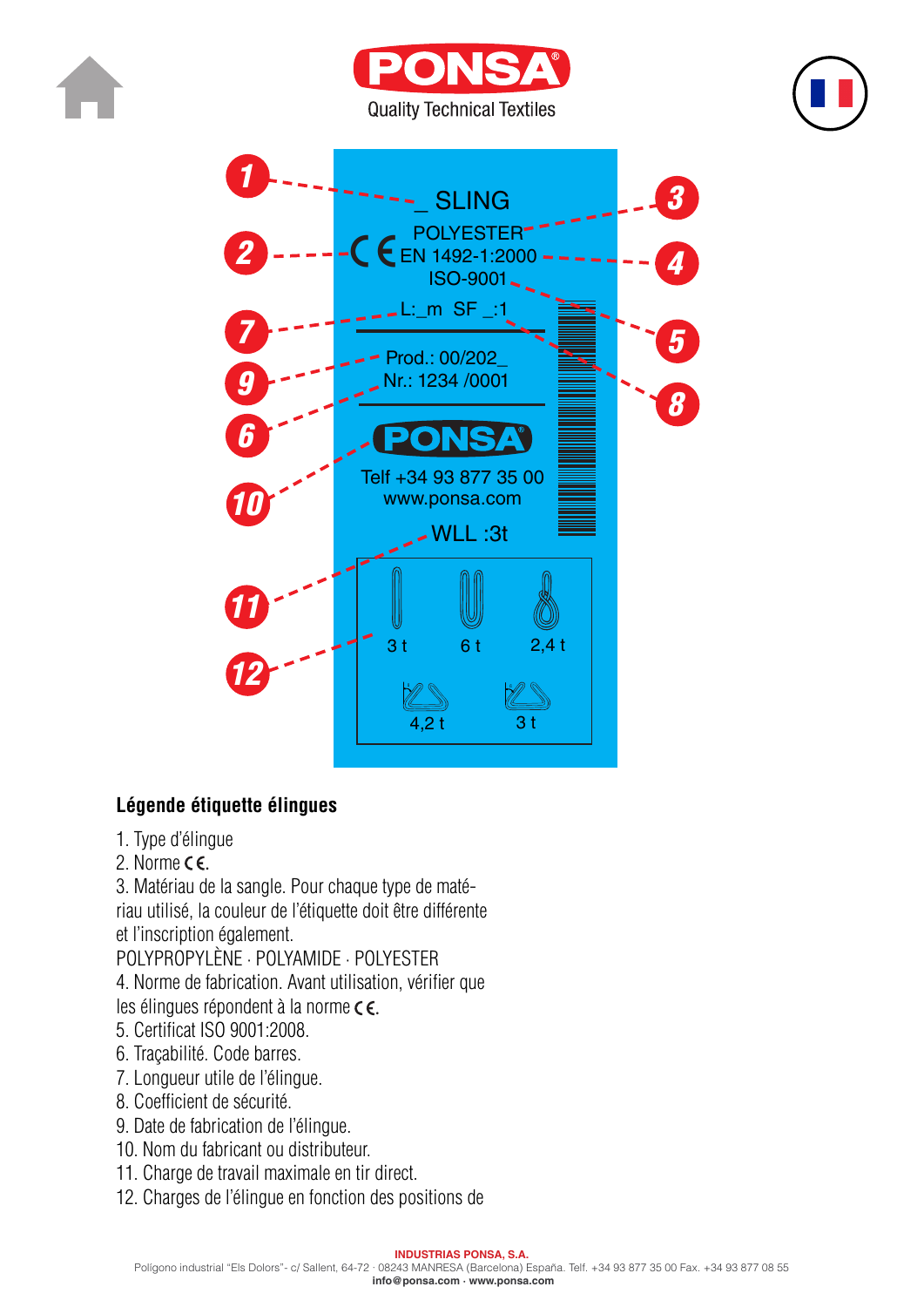<span id="page-2-0"></span>







# **Légende étiquette élingues**

- 1. Type d'élingue
- 2. Norme  $\epsilon$   $\epsilon$ .

3. Matériau de la sangle. Pour chaque type de maté-

riau utilisé, la couleur de l'étiquette doit être différente

et l'inscription également.

POLYPROPYLÈNE · POLYAMIDE · POLYESTER

4. Norme de fabrication. Avant utilisation, vérifier que ....., vormo<br>.

les élingues répondent à la norme  $\epsilon \epsilon$ .

- 5. Certificat ISO 9001:2008.
- 6. Traçabilité. Code barres.
- 7. Longueur utile de l'élingue.
- 8. Coefficient de sécurité.
- 9. Date de fabrication de l'élingue.
- 10. Nom du fabricant ou distributeur.
- 11. Charge de travail maximale en tir direct.
- 12. Charges de l'élingue en fonction des positions de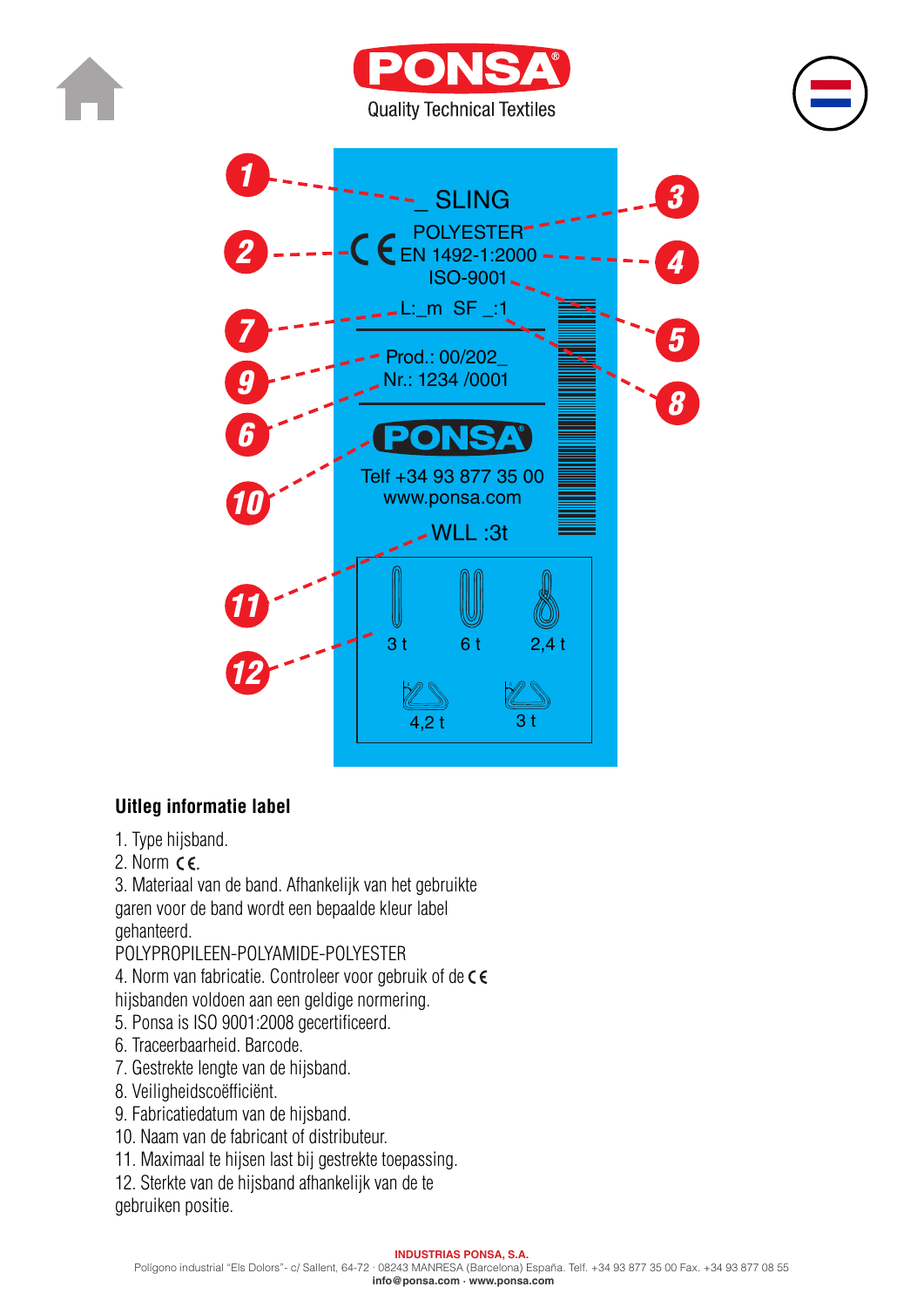<span id="page-3-0"></span>







#### **Uitleg informatie label**

- 1. Type hijsband.
- 2. Norm  $\epsilon$ .

3. Materiaal van de band. Afhankelijk van het gebruikte garen voor de band wordt een bepaalde kleur label gehanteerd.

#### POLYPROPILEEN-POLYAMIDE-POLYESTER

4. Norm van fabricatie. Controleer voor gebruik of de C E<br>bijsbanden voldeen aan een geldige normering hijsbanden voldoen aan een geldige normering.

- 5. Ponsa is ISO 9001:2008 gecertificeerd.
- 6. Traceerbaarheid. Barcode.
- 7. Gestrekte lengte van de hijsband.
- 8. Veiligheidscoëfficiënt.
- 9. Fabricatiedatum van de hijsband.
- 10. Naam van de fabricant of distributeur.
- 11. Maximaal te hijsen last bij gestrekte toepassing.
- 12. Sterkte van de hijsband afhankelijk van de te

gebruiken positie.

#### **INDUSTRIAS PONSA, S.A.**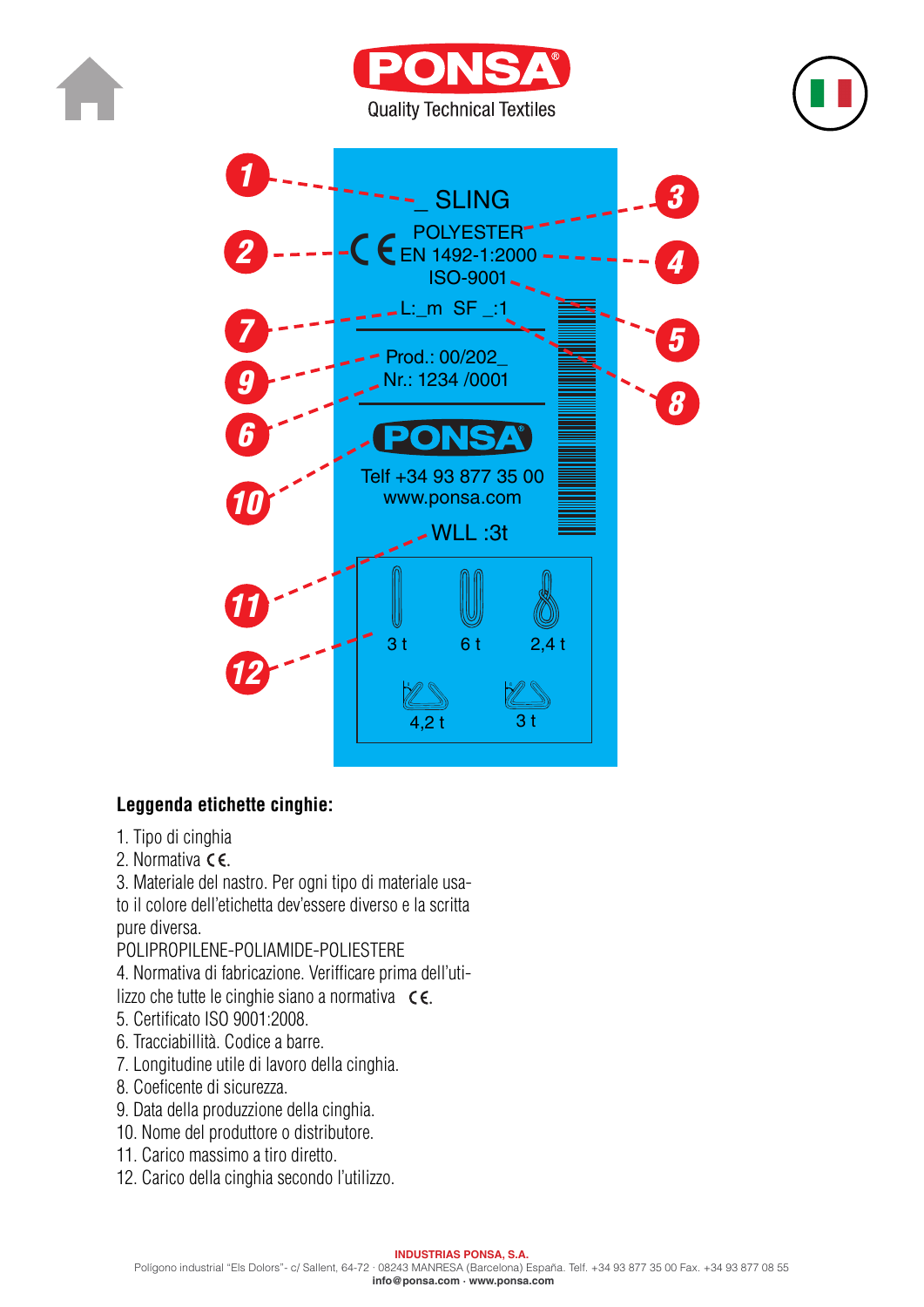<span id="page-4-0"></span>







### **Leggenda etichette cinghie:**

- 1. Tipo di cinghia
- 2. Normativa **⊂**€.
- 3. Materiale del nastro. Per ogni tipo di materiale usa-

to il colore dell'etichetta dev'essere diverso e la scritta pure diversa.

POLIPROPILENE-POLIAMIDE-POLIESTERE

4. Normativa di fabricazione. Verifficare prima dell'uti $l$ izzo che tutte le cinghie siano a normativa  $\in \mathsf{C}$ .

- 5. Certificato ISO 9001:2008.
- 6. Tracciabillità. Codice a barre.
- 7. Longitudine utile di lavoro della cinghia.
- 8. Coeficente di sicurezza.
- 9. Data della produzzione della cinghia.
- 10. Nome del produttore o distributore.
- 11. Carico massimo a tiro diretto.
- 12. Carico della cinghia secondo l'utilizzo.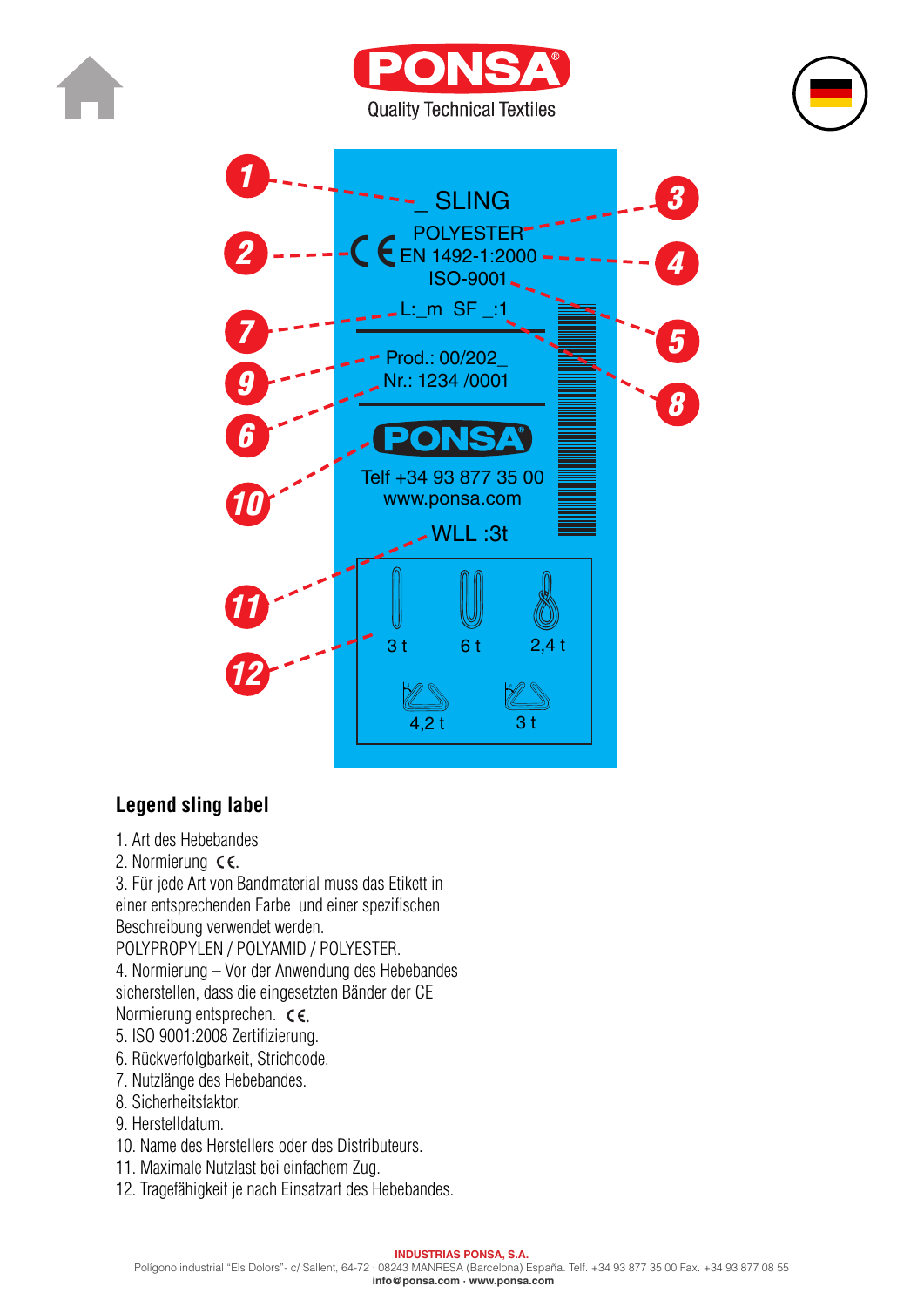<span id="page-5-0"></span>







### **Legend sling label**

- 1. Art des Hebebandes
- 2. Normierung  $\epsilon$ .

3. Für jede Art von Bandmaterial muss das Etikett in einer entsprechenden Farbe und einer spezifischen Beschreibung verwendet werden.

POLYPROPYLEN / POLYAMID / POLYESTER.

4. Normierung – Vor der Anwendung des Hebebandes<br>sisberstellen, dass die eingesetzten Bänder der CE sicherstellen, dass die eingesetzten Bänder der CE Normierung entsprechen. CE.

- 5. ISO 9001:2008 Zertifizierung.
- 6. Rückverfolgbarkeit, Strichcode.
- 7. Nutzlänge des Hebebandes.
- 8. Sicherheitsfaktor.
- 9. Herstelldatum.
- 10. Name des Herstellers oder des Distributeurs.
- 11. Maximale Nutzlast bei einfachem Zug.
- 12. Tragefähigkeit je nach Einsatzart des Hebebandes.